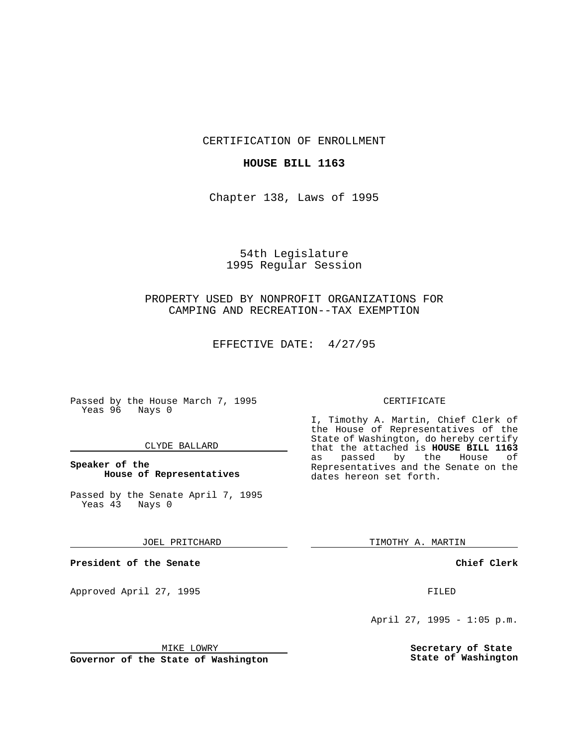CERTIFICATION OF ENROLLMENT

### **HOUSE BILL 1163**

Chapter 138, Laws of 1995

# 54th Legislature 1995 Regular Session

## PROPERTY USED BY NONPROFIT ORGANIZATIONS FOR CAMPING AND RECREATION--TAX EXEMPTION

EFFECTIVE DATE: 4/27/95

Passed by the House March 7, 1995 Yeas 96 Nays 0

### CLYDE BALLARD

### **Speaker of the House of Representatives**

Passed by the Senate April 7, 1995 Yeas 43 Nays 0

#### JOEL PRITCHARD

**President of the Senate**

Approved April 27, 1995 FILED

## MIKE LOWRY

**Governor of the State of Washington**

#### CERTIFICATE

I, Timothy A. Martin, Chief Clerk of the House of Representatives of the State of Washington, do hereby certify that the attached is **HOUSE BILL 1163** as passed by the Representatives and the Senate on the dates hereon set forth.

TIMOTHY A. MARTIN

### **Chief Clerk**

April 27, 1995 - 1:05 p.m.

**Secretary of State State of Washington**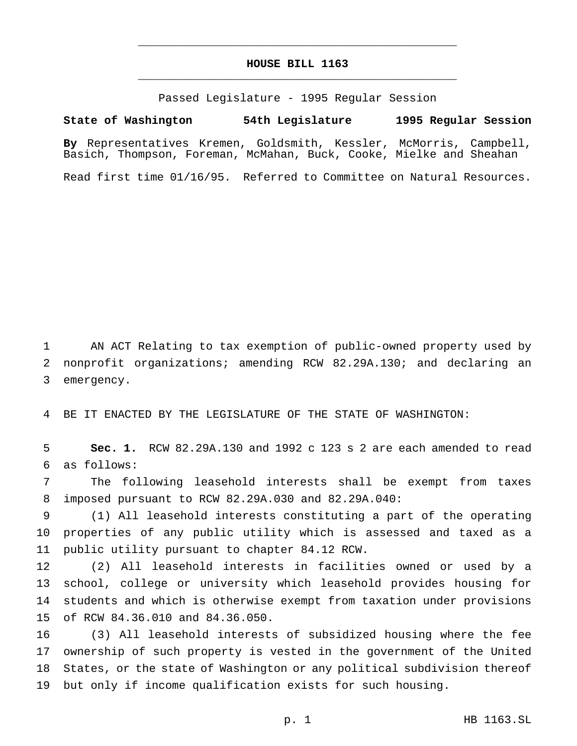## **HOUSE BILL 1163** \_\_\_\_\_\_\_\_\_\_\_\_\_\_\_\_\_\_\_\_\_\_\_\_\_\_\_\_\_\_\_\_\_\_\_\_\_\_\_\_\_\_\_\_\_\_\_

\_\_\_\_\_\_\_\_\_\_\_\_\_\_\_\_\_\_\_\_\_\_\_\_\_\_\_\_\_\_\_\_\_\_\_\_\_\_\_\_\_\_\_\_\_\_\_

Passed Legislature - 1995 Regular Session

#### **State of Washington 54th Legislature 1995 Regular Session**

**By** Representatives Kremen, Goldsmith, Kessler, McMorris, Campbell, Basich, Thompson, Foreman, McMahan, Buck, Cooke, Mielke and Sheahan

Read first time 01/16/95. Referred to Committee on Natural Resources.

 AN ACT Relating to tax exemption of public-owned property used by nonprofit organizations; amending RCW 82.29A.130; and declaring an emergency.

BE IT ENACTED BY THE LEGISLATURE OF THE STATE OF WASHINGTON:

 **Sec. 1.** RCW 82.29A.130 and 1992 c 123 s 2 are each amended to read as follows:

 The following leasehold interests shall be exempt from taxes imposed pursuant to RCW 82.29A.030 and 82.29A.040:

 (1) All leasehold interests constituting a part of the operating properties of any public utility which is assessed and taxed as a public utility pursuant to chapter 84.12 RCW.

 (2) All leasehold interests in facilities owned or used by a school, college or university which leasehold provides housing for students and which is otherwise exempt from taxation under provisions of RCW 84.36.010 and 84.36.050.

 (3) All leasehold interests of subsidized housing where the fee ownership of such property is vested in the government of the United States, or the state of Washington or any political subdivision thereof but only if income qualification exists for such housing.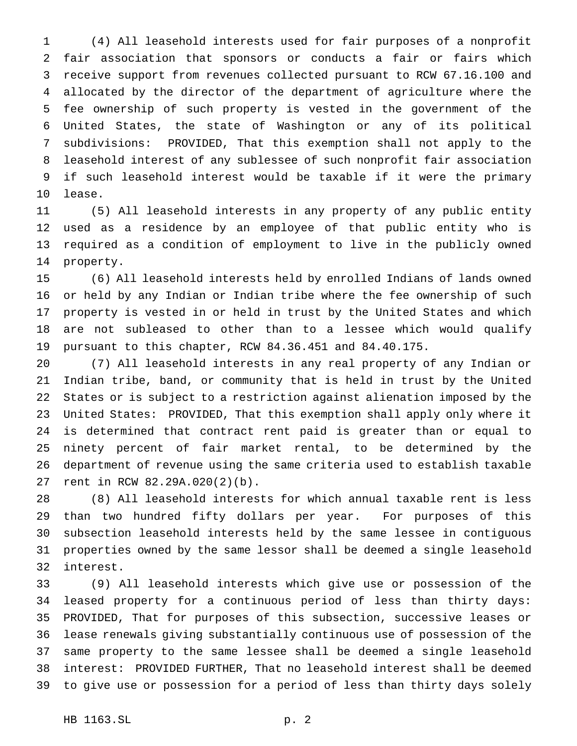(4) All leasehold interests used for fair purposes of a nonprofit fair association that sponsors or conducts a fair or fairs which receive support from revenues collected pursuant to RCW 67.16.100 and allocated by the director of the department of agriculture where the fee ownership of such property is vested in the government of the United States, the state of Washington or any of its political subdivisions: PROVIDED, That this exemption shall not apply to the leasehold interest of any sublessee of such nonprofit fair association if such leasehold interest would be taxable if it were the primary lease.

 (5) All leasehold interests in any property of any public entity used as a residence by an employee of that public entity who is required as a condition of employment to live in the publicly owned property.

 (6) All leasehold interests held by enrolled Indians of lands owned or held by any Indian or Indian tribe where the fee ownership of such property is vested in or held in trust by the United States and which are not subleased to other than to a lessee which would qualify pursuant to this chapter, RCW 84.36.451 and 84.40.175.

 (7) All leasehold interests in any real property of any Indian or Indian tribe, band, or community that is held in trust by the United States or is subject to a restriction against alienation imposed by the United States: PROVIDED, That this exemption shall apply only where it is determined that contract rent paid is greater than or equal to ninety percent of fair market rental, to be determined by the department of revenue using the same criteria used to establish taxable rent in RCW 82.29A.020(2)(b).

 (8) All leasehold interests for which annual taxable rent is less than two hundred fifty dollars per year. For purposes of this subsection leasehold interests held by the same lessee in contiguous properties owned by the same lessor shall be deemed a single leasehold interest.

 (9) All leasehold interests which give use or possession of the leased property for a continuous period of less than thirty days: PROVIDED, That for purposes of this subsection, successive leases or lease renewals giving substantially continuous use of possession of the same property to the same lessee shall be deemed a single leasehold interest: PROVIDED FURTHER, That no leasehold interest shall be deemed to give use or possession for a period of less than thirty days solely